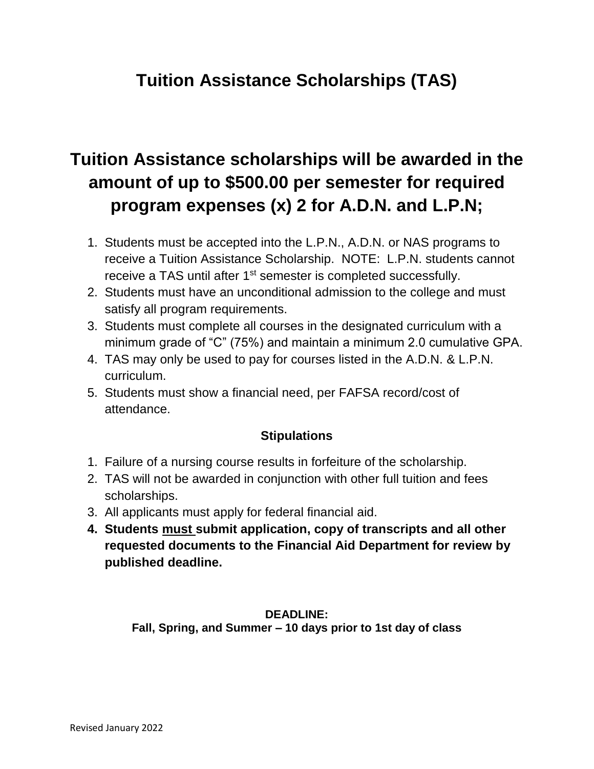### **Tuition Assistance Scholarships (TAS)**

# **Tuition Assistance scholarships will be awarded in the amount of up to \$500.00 per semester for required program expenses (x) 2 for A.D.N. and L.P.N;**

- 1. Students must be accepted into the L.P.N., A.D.N. or NAS programs to receive a Tuition Assistance Scholarship. NOTE: L.P.N. students cannot receive a TAS until after 1<sup>st</sup> semester is completed successfully.
- 2. Students must have an unconditional admission to the college and must satisfy all program requirements.
- 3. Students must complete all courses in the designated curriculum with a minimum grade of "C" (75%) and maintain a minimum 2.0 cumulative GPA.
- 4. TAS may only be used to pay for courses listed in the A.D.N. & L.P.N. curriculum.
- 5. Students must show a financial need, per FAFSA record/cost of attendance.

### **Stipulations**

- 1. Failure of a nursing course results in forfeiture of the scholarship.
- 2. TAS will not be awarded in conjunction with other full tuition and fees scholarships.
- 3. All applicants must apply for federal financial aid.
- **4. Students must submit application, copy of transcripts and all other requested documents to the Financial Aid Department for review by published deadline.**

#### **DEADLINE: Fall, Spring, and Summer – 10 days prior to 1st day of class**